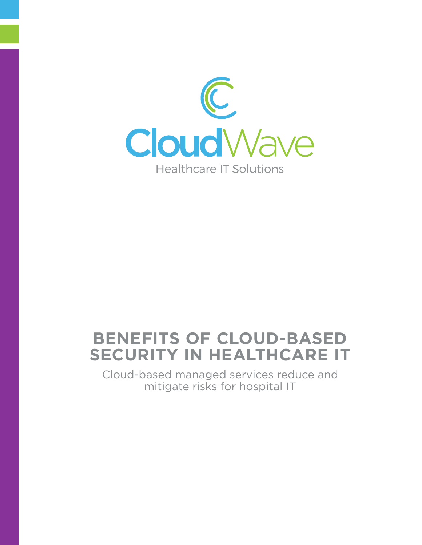

## **Benefits of Cloud-Based Security in Healthcare IT**

Cloud-based managed services reduce and mitigate risks for hospital IT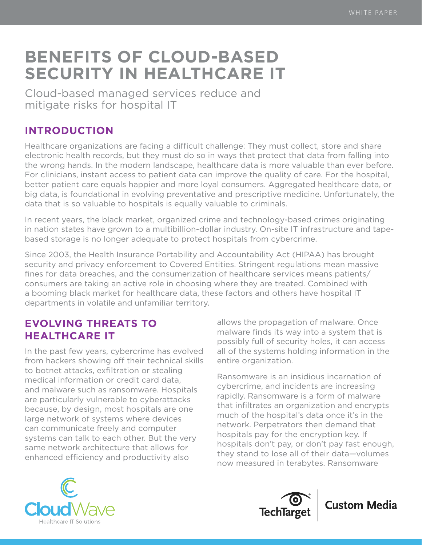# **Benefits of Cloud-Based Security in Healthcare IT**

Cloud-based managed services reduce and mitigate risks for hospital IT

## **INTRODUCTION**

Healthcare organizations are facing a difficult challenge: They must collect, store and share electronic health records, but they must do so in ways that protect that data from falling into the wrong hands. In the modern landscape, healthcare data is more valuable than ever before. For clinicians, instant access to patient data can improve the quality of care. For the hospital, better patient care equals happier and more loyal consumers. Aggregated healthcare data, or big data, is foundational in evolving preventative and prescriptive medicine. Unfortunately, the data that is so valuable to hospitals is equally valuable to criminals.

In recent years, the black market, organized crime and technology-based crimes originating in nation states have grown to a multibillion-dollar industry. On-site IT infrastructure and tapebased storage is no longer adequate to protect hospitals from cybercrime.

Since 2003, the Health Insurance Portability and Accountability Act (HIPAA) has brought security and privacy enforcement to Covered Entities. Stringent regulations mean massive fines for data breaches, and the consumerization of healthcare services means patients/ consumers are taking an active role in choosing where they are treated. Combined with a booming black market for healthcare data, these factors and others have hospital IT departments in volatile and unfamiliar territory.

## **Evolving threats to healthcare IT**

In the past few years, cybercrime has evolved from hackers showing off their technical skills to botnet attacks, exfiltration or stealing medical information or credit card data, and malware such as ransomware. Hospitals are particularly vulnerable to cyberattacks because, by design, most hospitals are one large network of systems where devices can communicate freely and computer systems can talk to each other. But the very same network architecture that allows for enhanced efficiency and productivity also

allows the propagation of malware. Once malware finds its way into a system that is possibly full of security holes, it can access all of the systems holding information in the entire organization.

Ransomware is an insidious incarnation of cybercrime, and incidents are increasing rapidly. Ransomware is a form of malware that infiltrates an organization and encrypts much of the hospital's data once it's in the network. Perpetrators then demand that hospitals pay for the encryption key. If hospitals don't pay, or don't pay fast enough, they stand to lose all of their data—volumes now measured in terabytes. Ransomware





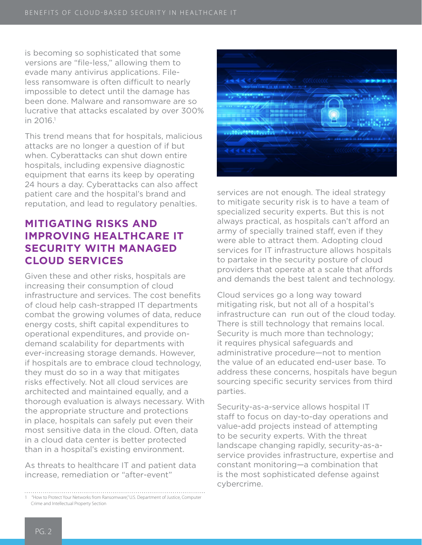is becoming so sophisticated that some versions are "file-less," allowing them to evade many antivirus applications. Fileless ransomware is often difficult to nearly impossible to detect until the damage has been done. Malware and ransomware are so lucrative that attacks escalated by over 300% in 2016.1

This trend means that for hospitals, malicious attacks are no longer a question of if but when. Cyberattacks can shut down entire hospitals, including expensive diagnostic equipment that earns its keep by operating 24 hours a day. Cyberattacks can also affect patient care and the hospital's brand and reputation, and lead to regulatory penalties.

#### **Mitigating risks and improving healthcare IT security with managed cloud services**

Given these and other risks, hospitals are increasing their consumption of cloud infrastructure and services. The cost benefits of cloud help cash-strapped IT departments combat the growing volumes of data, reduce energy costs, shift capital expenditures to operational expenditures, and provide ondemand scalability for departments with ever-increasing storage demands. However, if hospitals are to embrace cloud technology, they must do so in a way that mitigates risks effectively. Not all cloud services are architected and maintained equally, and a thorough evaluation is always necessary. With the appropriate structure and protections in place, hospitals can safely put even their most sensitive data in the cloud. Often, data in a cloud data center is better protected than in a hospital's existing environment.

As threats to healthcare IT and patient data increase, remediation or "after-event"



services are not enough. The ideal strategy to mitigate security risk is to have a team of specialized security experts. But this is not always practical, as hospitals can't afford an army of specially trained staff, even if they were able to attract them. Adopting cloud services for IT infrastructure allows hospitals to partake in the security posture of cloud providers that operate at a scale that affords and demands the best talent and technology.

Cloud services go a long way toward mitigating risk, but not all of a hospital's infrastructure can run out of the cloud today. There is still technology that remains local. Security is much more than technology; it requires physical safeguards and administrative procedure—not to mention the value of an educated end-user base. To address these concerns, hospitals have begun sourcing specific security services from third parties.

Security-as-a-service allows hospital IT staff to focus on day-to-day operations and value-add projects instead of attempting to be security experts. With the threat landscape changing rapidly, security-as-aservice provides infrastructure, expertise and constant monitoring—a combination that is the most sophisticated defense against cybercrime.

<sup>1 &</sup>quot;[How to Protect Your Networks from Ransomware](https://www.justice.gov/criminal-ccips/file/872771/download)," U.S. Department of Justice, Computer Crime and Intellectual Property Section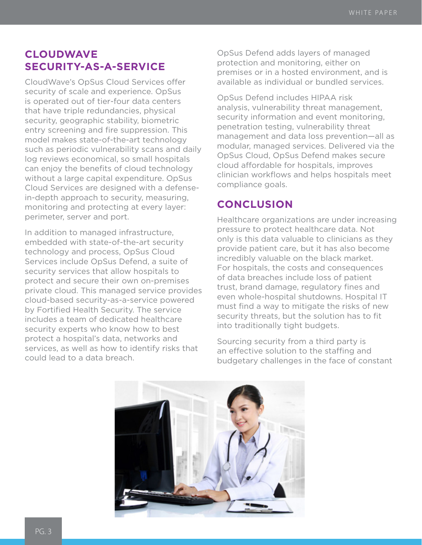## **CloudWave security-as-a-service**

CloudWave's OpSus Cloud Services offer security of scale and experience. OpSus is operated out of tier-four data centers that have triple redundancies, physical security, geographic stability, biometric entry screening and fire suppression. This model makes state-of-the-art technology such as periodic vulnerability scans and daily log reviews economical, so small hospitals can enjoy the benefits of cloud technology without a large capital expenditure. OpSus Cloud Services are designed with a defensein-depth approach to security, measuring, monitoring and protecting at every layer: perimeter, server and port.

In addition to managed infrastructure, embedded with state-of-the-art security technology and process, OpSus Cloud Services include OpSus Defend, a suite of security services that allow hospitals to protect and secure their own on-premises private cloud. This managed service provides cloud-based security-as-a-service powered by Fortified Health Security. The service includes a team of dedicated healthcare security experts who know how to best protect a hospital's data, networks and services, as well as how to identify risks that could lead to a data breach.

OpSus Defend adds layers of managed protection and monitoring, either on premises or in a hosted environment, and is available as individual or bundled services.

OpSus Defend includes HIPAA risk analysis, vulnerability threat management, security information and event monitoring, penetration testing, vulnerability threat management and data loss prevention—all as modular, managed services. Delivered via the OpSus Cloud, OpSus Defend makes secure cloud affordable for hospitals, improves clinician workflows and helps hospitals meet compliance goals.

#### **Conclusion**

Healthcare organizations are under increasing pressure to protect healthcare data. Not only is this data valuable to clinicians as they provide patient care, but it has also become incredibly valuable on the black market. For hospitals, the costs and consequences of data breaches include loss of patient trust, brand damage, regulatory fines and even whole-hospital shutdowns. Hospital IT must find a way to mitigate the risks of new security threats, but the solution has to fit into traditionally tight budgets.

Sourcing security from a third party is an effective solution to the staffing and budgetary challenges in the face of constant